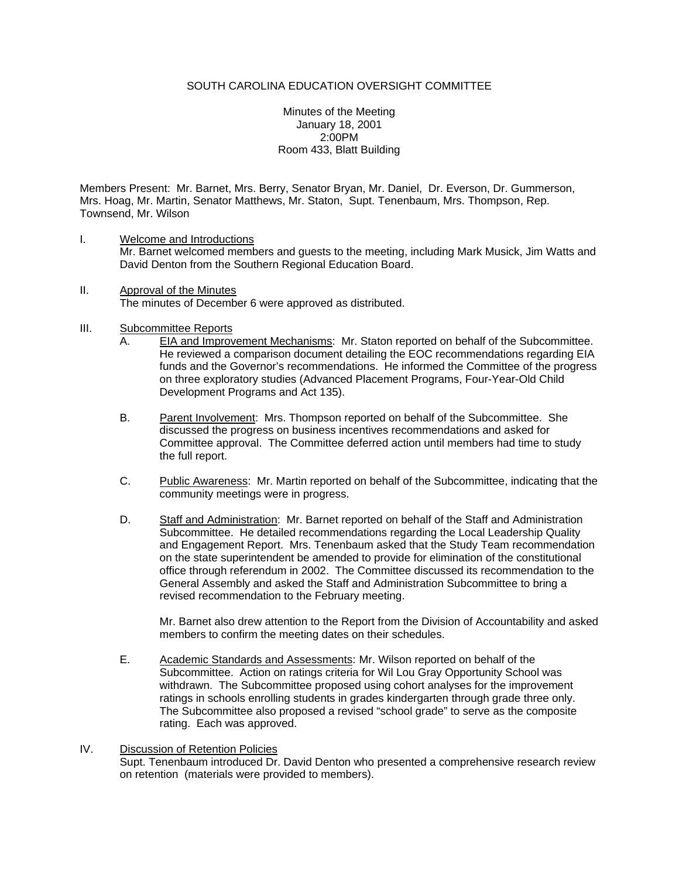Minutes of the Meeting January 18, 2001 2:00PM Room 433, Blatt Building

Members Present: Mr. Barnet, Mrs. Berry, Senator Bryan, Mr. Daniel, Dr. Everson, Dr. Gummerson, Mrs. Hoag, Mr. Martin, Senator Matthews, Mr. Staton, Supt. Tenenbaum, Mrs. Thompson, Rep. Townsend, Mr. Wilson

- I. Welcome and Introductions Mr. Barnet welcomed members and guests to the meeting, including Mark Musick, Jim Watts and David Denton from the Southern Regional Education Board.
- II. Approval of the Minutes The minutes of December 6 were approved as distributed.
- III. Subcommittee Reports
	- A. EIA and Improvement Mechanisms: Mr. Staton reported on behalf of the Subcommittee. He reviewed a comparison document detailing the EOC recommendations regarding EIA funds and the Governor's recommendations. He informed the Committee of the progress on three exploratory studies (Advanced Placement Programs, Four-Year-Old Child Development Programs and Act 135).
	- B. Parent Involvement: Mrs. Thompson reported on behalf of the Subcommittee. She discussed the progress on business incentives recommendations and asked for Committee approval. The Committee deferred action until members had time to study the full report.
	- C. Public Awareness: Mr. Martin reported on behalf of the Subcommittee, indicating that the community meetings were in progress.
	- D. Staff and Administration: Mr. Barnet reported on behalf of the Staff and Administration Subcommittee. He detailed recommendations regarding the Local Leadership Quality and Engagement Report. Mrs. Tenenbaum asked that the Study Team recommendation on the state superintendent be amended to provide for elimination of the constitutional office through referendum in 2002. The Committee discussed its recommendation to the General Assembly and asked the Staff and Administration Subcommittee to bring a revised recommendation to the February meeting.

Mr. Barnet also drew attention to the Report from the Division of Accountability and asked members to confirm the meeting dates on their schedules.

E. Academic Standards and Assessments: Mr. Wilson reported on behalf of the Subcommittee. Action on ratings criteria for Wil Lou Gray Opportunity School was withdrawn. The Subcommittee proposed using cohort analyses for the improvement ratings in schools enrolling students in grades kindergarten through grade three only. The Subcommittee also proposed a revised "school grade" to serve as the composite rating. Each was approved.

## IV. Discussion of Retention Policies Supt. Tenenbaum introduced Dr. David Denton who presented a comprehensive research review on retention (materials were provided to members).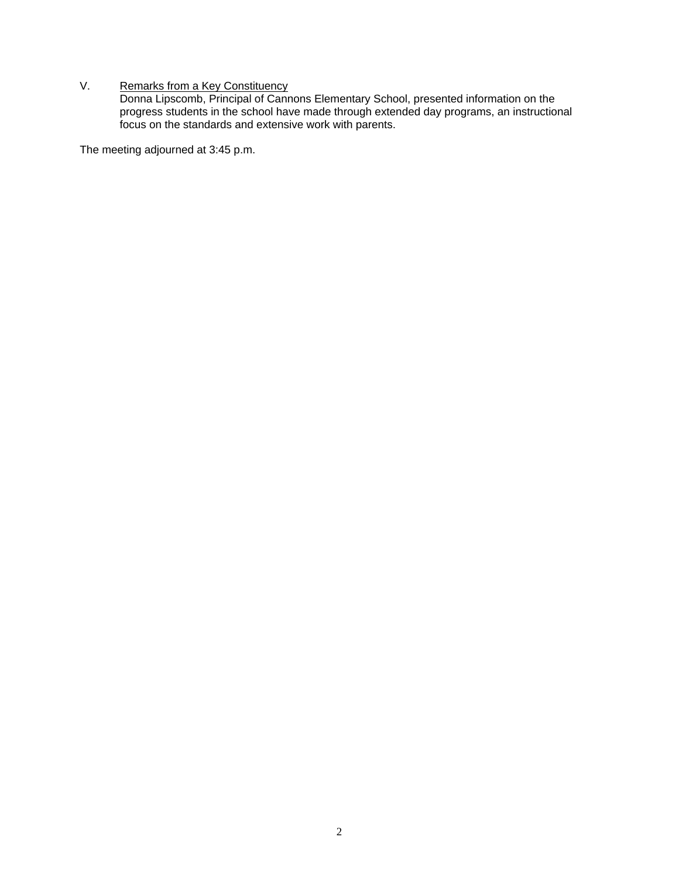## V. Remarks from a Key Constituency

Donna Lipscomb, Principal of Cannons Elementary School, presented information on the progress students in the school have made through extended day programs, an instructional focus on the standards and extensive work with parents.

The meeting adjourned at 3:45 p.m.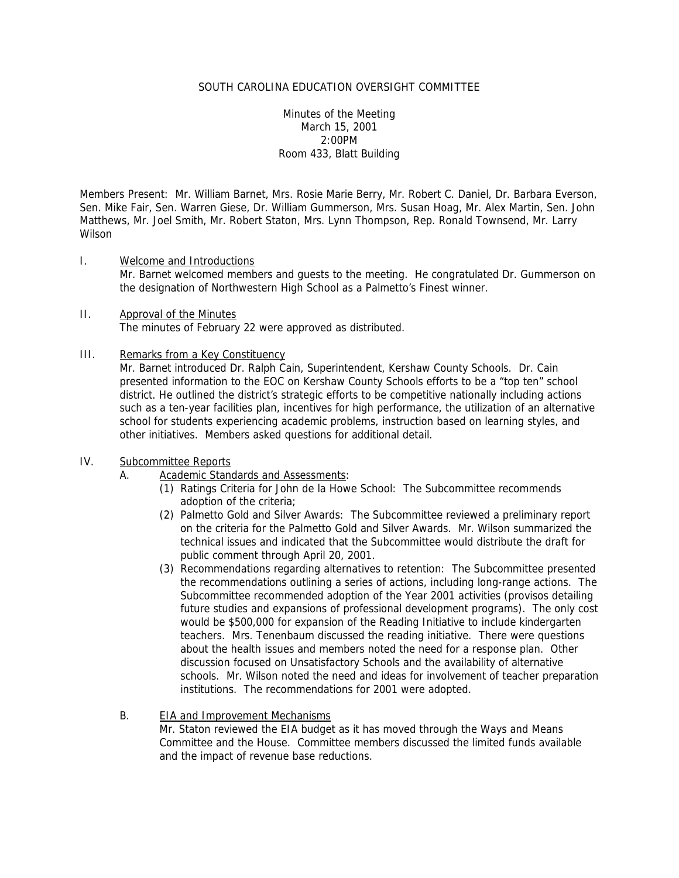Minutes of the Meeting March 15, 2001 2:00PM Room 433, Blatt Building

Members Present: Mr. William Barnet, Mrs. Rosie Marie Berry, Mr. Robert C. Daniel, Dr. Barbara Everson, Sen. Mike Fair, Sen. Warren Giese, Dr. William Gummerson, Mrs. Susan Hoag, Mr. Alex Martin, Sen. John Matthews, Mr. Joel Smith, Mr. Robert Staton, Mrs. Lynn Thompson, Rep. Ronald Townsend, Mr. Larry Wilson

- I. Welcome and Introductions Mr. Barnet welcomed members and guests to the meeting. He congratulated Dr. Gummerson on the designation of Northwestern High School as a Palmetto's Finest winner.
- II. Approval of the Minutes The minutes of February 22 were approved as distributed.

#### III. Remarks from a Key Constituency

Mr. Barnet introduced Dr. Ralph Cain, Superintendent, Kershaw County Schools. Dr. Cain presented information to the EOC on Kershaw County Schools efforts to be a "top ten" school district. He outlined the district's strategic efforts to be competitive nationally including actions such as a ten-year facilities plan, incentives for high performance, the utilization of an alternative school for students experiencing academic problems, instruction based on learning styles, and other initiatives. Members asked questions for additional detail.

## IV. Subcommittee Reports

- A. Academic Standards and Assessments:
	- (1) Ratings Criteria for John de la Howe School: The Subcommittee recommends adoption of the criteria;
	- (2) Palmetto Gold and Silver Awards: The Subcommittee reviewed a preliminary report on the criteria for the Palmetto Gold and Silver Awards. Mr. Wilson summarized the technical issues and indicated that the Subcommittee would distribute the draft for public comment through April 20, 2001.
	- (3) Recommendations regarding alternatives to retention: The Subcommittee presented the recommendations outlining a series of actions, including long-range actions. The Subcommittee recommended adoption of the Year 2001 activities (provisos detailing future studies and expansions of professional development programs). The only cost would be \$500,000 for expansion of the Reading Initiative to include kindergarten teachers. Mrs. Tenenbaum discussed the reading initiative. There were questions about the health issues and members noted the need for a response plan. Other discussion focused on Unsatisfactory Schools and the availability of alternative schools. Mr. Wilson noted the need and ideas for involvement of teacher preparation institutions. The recommendations for 2001 were adopted.

## B. EIA and Improvement Mechanisms

Mr. Staton reviewed the EIA budget as it has moved through the Ways and Means Committee and the House. Committee members discussed the limited funds available and the impact of revenue base reductions.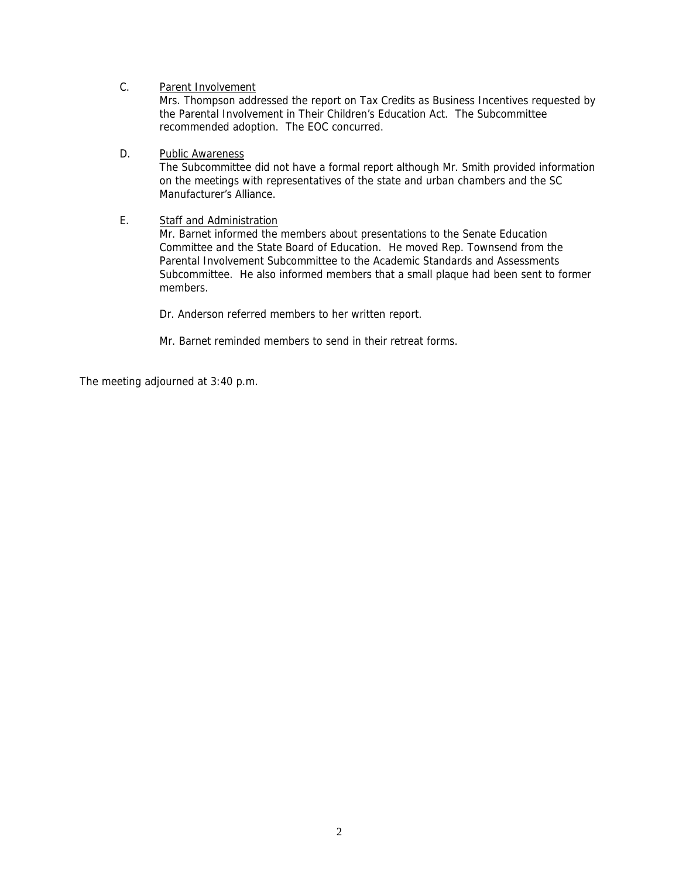# C. Parent Involvement

Mrs. Thompson addressed the report on Tax Credits as Business Incentives requested by the Parental Involvement in Their Children's Education Act. The Subcommittee recommended adoption. The EOC concurred.

# D. Public Awareness

The Subcommittee did not have a formal report although Mr. Smith provided information on the meetings with representatives of the state and urban chambers and the SC Manufacturer's Alliance.

# E. Staff and Administration

Mr. Barnet informed the members about presentations to the Senate Education Committee and the State Board of Education. He moved Rep. Townsend from the Parental Involvement Subcommittee to the Academic Standards and Assessments Subcommittee. He also informed members that a small plaque had been sent to former members.

Dr. Anderson referred members to her written report.

Mr. Barnet reminded members to send in their retreat forms.

The meeting adjourned at 3:40 p.m.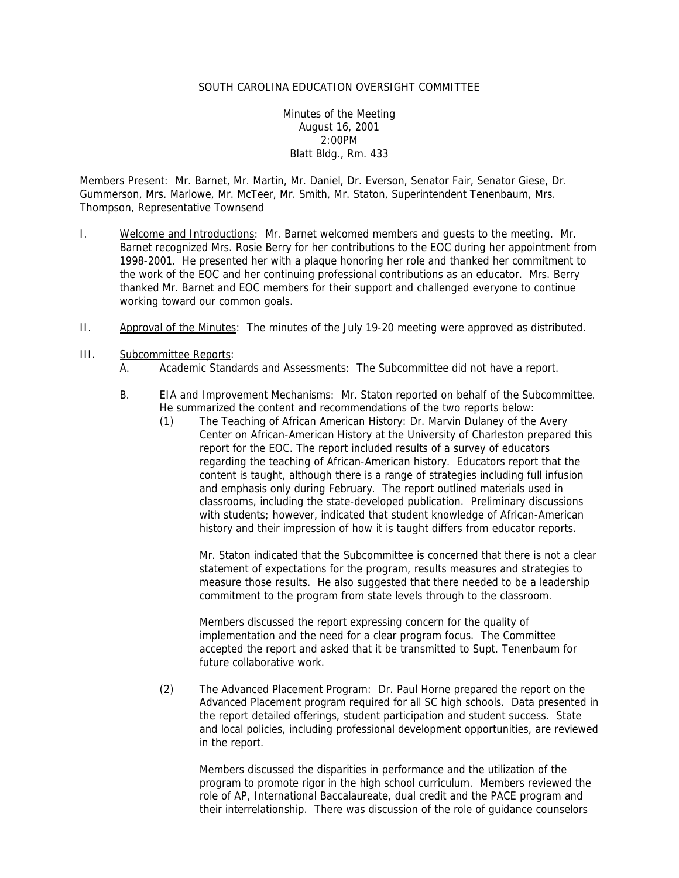Minutes of the Meeting August 16, 2001 2:00PM Blatt Bldg., Rm. 433

Members Present: Mr. Barnet, Mr. Martin, Mr. Daniel, Dr. Everson, Senator Fair, Senator Giese, Dr. Gummerson, Mrs. Marlowe, Mr. McTeer, Mr. Smith, Mr. Staton, Superintendent Tenenbaum, Mrs. Thompson, Representative Townsend

- I. Welcome and Introductions: Mr. Barnet welcomed members and quests to the meeting. Mr. Barnet recognized Mrs. Rosie Berry for her contributions to the EOC during her appointment from 1998-2001. He presented her with a plaque honoring her role and thanked her commitment to the work of the EOC and her continuing professional contributions as an educator. Mrs. Berry thanked Mr. Barnet and EOC members for their support and challenged everyone to continue working toward our common goals.
- II. Approval of the Minutes: The minutes of the July 19-20 meeting were approved as distributed.
- III. Subcommittee Reports:
	- A. Academic Standards and Assessments: The Subcommittee did not have a report.
	- B. EIA and Improvement Mechanisms: Mr. Staton reported on behalf of the Subcommittee. He summarized the content and recommendations of the two reports below:
		- (1) The Teaching of African American History: Dr. Marvin Dulaney of the Avery Center on African-American History at the University of Charleston prepared this report for the EOC. The report included results of a survey of educators regarding the teaching of African-American history. Educators report that the content is taught, although there is a range of strategies including full infusion and emphasis only during February. The report outlined materials used in classrooms, including the state-developed publication. Preliminary discussions with students; however, indicated that student knowledge of African-American history and their impression of how it is taught differs from educator reports.

Mr. Staton indicated that the Subcommittee is concerned that there is not a clear statement of expectations for the program, results measures and strategies to measure those results. He also suggested that there needed to be a leadership commitment to the program from state levels through to the classroom.

Members discussed the report expressing concern for the quality of implementation and the need for a clear program focus. The Committee accepted the report and asked that it be transmitted to Supt. Tenenbaum for future collaborative work.

(2) The Advanced Placement Program: Dr. Paul Horne prepared the report on the Advanced Placement program required for all SC high schools. Data presented in the report detailed offerings, student participation and student success. State and local policies, including professional development opportunities, are reviewed in the report.

Members discussed the disparities in performance and the utilization of the program to promote rigor in the high school curriculum. Members reviewed the role of AP, International Baccalaureate, dual credit and the PACE program and their interrelationship. There was discussion of the role of guidance counselors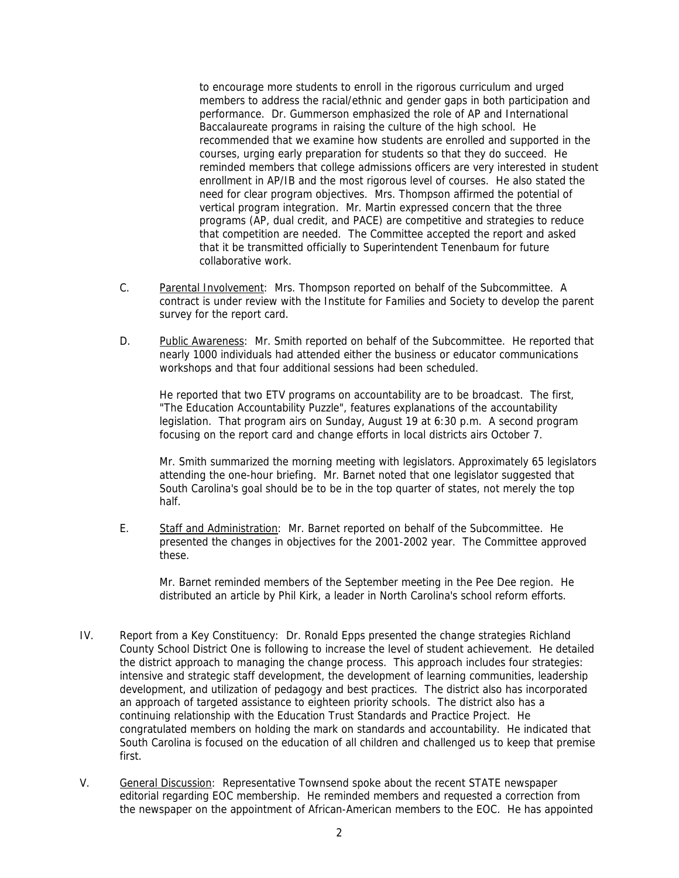to encourage more students to enroll in the rigorous curriculum and urged members to address the racial/ethnic and gender gaps in both participation and performance. Dr. Gummerson emphasized the role of AP and International Baccalaureate programs in raising the culture of the high school. He recommended that we examine how students are enrolled and supported in the courses, urging early preparation for students so that they do succeed. He reminded members that college admissions officers are very interested in student enrollment in AP/IB and the most rigorous level of courses. He also stated the need for clear program objectives. Mrs. Thompson affirmed the potential of vertical program integration. Mr. Martin expressed concern that the three programs (AP, dual credit, and PACE) are competitive and strategies to reduce that competition are needed. The Committee accepted the report and asked that it be transmitted officially to Superintendent Tenenbaum for future collaborative work.

- C. Parental Involvement: Mrs. Thompson reported on behalf of the Subcommittee. A contract is under review with the Institute for Families and Society to develop the parent survey for the report card.
- D. Public Awareness: Mr. Smith reported on behalf of the Subcommittee. He reported that nearly 1000 individuals had attended either the business or educator communications workshops and that four additional sessions had been scheduled.

He reported that two ETV programs on accountability are to be broadcast. The first, "The Education Accountability Puzzle", features explanations of the accountability legislation. That program airs on Sunday, August 19 at 6:30 p.m. A second program focusing on the report card and change efforts in local districts airs October 7.

Mr. Smith summarized the morning meeting with legislators. Approximately 65 legislators attending the one-hour briefing. Mr. Barnet noted that one legislator suggested that South Carolina's goal should be to be in the top quarter of states, not merely the top half.

E. Staff and Administration: Mr. Barnet reported on behalf of the Subcommittee. He presented the changes in objectives for the 2001-2002 year. The Committee approved these.

Mr. Barnet reminded members of the September meeting in the Pee Dee region. He distributed an article by Phil Kirk, a leader in North Carolina's school reform efforts.

- IV. Report from a Key Constituency: Dr. Ronald Epps presented the change strategies Richland County School District One is following to increase the level of student achievement. He detailed the district approach to managing the change process. This approach includes four strategies: intensive and strategic staff development, the development of learning communities, leadership development, and utilization of pedagogy and best practices. The district also has incorporated an approach of targeted assistance to eighteen priority schools. The district also has a continuing relationship with the Education Trust Standards and Practice Project. He congratulated members on holding the mark on standards and accountability. He indicated that South Carolina is focused on the education of all children and challenged us to keep that premise first.
- V. General Discussion: Representative Townsend spoke about the recent STATE newspaper editorial regarding EOC membership. He reminded members and requested a correction from the newspaper on the appointment of African-American members to the EOC. He has appointed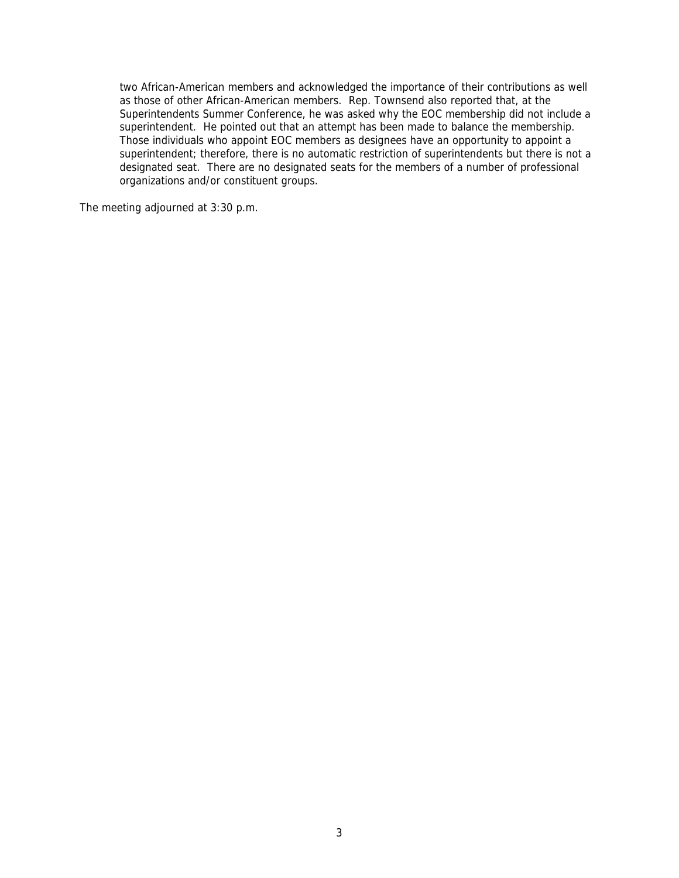two African-American members and acknowledged the importance of their contributions as well as those of other African-American members. Rep. Townsend also reported that, at the Superintendents Summer Conference, he was asked why the EOC membership did not include a superintendent. He pointed out that an attempt has been made to balance the membership. Those individuals who appoint EOC members as designees have an opportunity to appoint a superintendent; therefore, there is no automatic restriction of superintendents but there is not a designated seat. There are no designated seats for the members of a number of professional organizations and/or constituent groups.

The meeting adjourned at 3:30 p.m.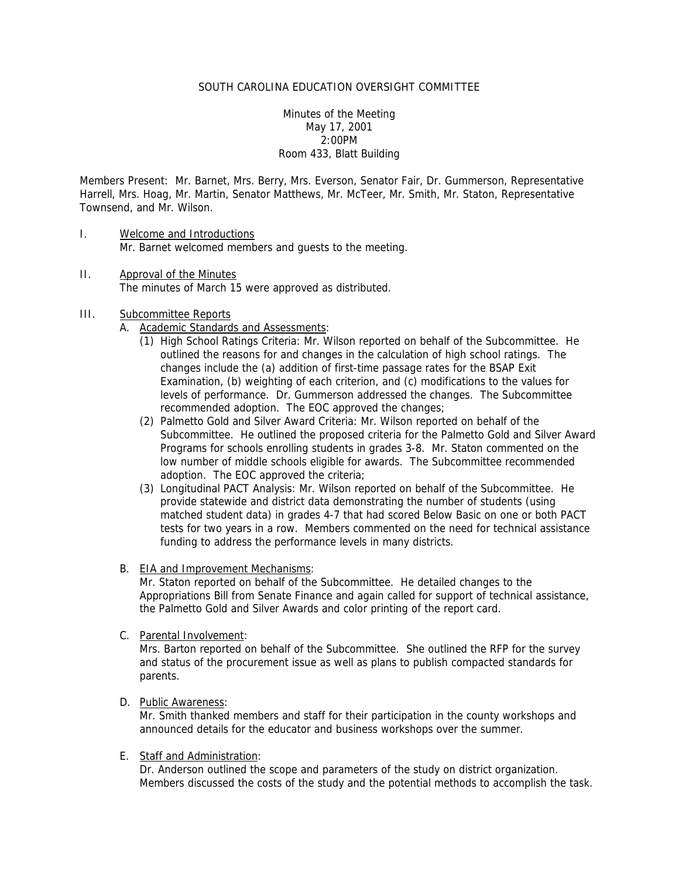Minutes of the Meeting May 17, 2001 2:00PM Room 433, Blatt Building

Members Present: Mr. Barnet, Mrs. Berry, Mrs. Everson, Senator Fair, Dr. Gummerson, Representative Harrell, Mrs. Hoag, Mr. Martin, Senator Matthews, Mr. McTeer, Mr. Smith, Mr. Staton, Representative Townsend, and Mr. Wilson.

- I. Welcome and Introductions Mr. Barnet welcomed members and guests to the meeting.
- II. Approval of the Minutes The minutes of March 15 were approved as distributed.

#### III. Subcommittee Reports

- A. Academic Standards and Assessments:
	- (1) High School Ratings Criteria: Mr. Wilson reported on behalf of the Subcommittee. He outlined the reasons for and changes in the calculation of high school ratings. The changes include the (a) addition of first-time passage rates for the BSAP Exit Examination, (b) weighting of each criterion, and (c) modifications to the values for levels of performance. Dr. Gummerson addressed the changes. The Subcommittee recommended adoption. The EOC approved the changes;
	- (2) Palmetto Gold and Silver Award Criteria: Mr. Wilson reported on behalf of the Subcommittee. He outlined the proposed criteria for the Palmetto Gold and Silver Award Programs for schools enrolling students in grades 3-8. Mr. Staton commented on the low number of middle schools eligible for awards. The Subcommittee recommended adoption. The EOC approved the criteria;
	- (3) Longitudinal PACT Analysis: Mr. Wilson reported on behalf of the Subcommittee. He provide statewide and district data demonstrating the number of students (using matched student data) in grades 4-7 that had scored Below Basic on one or both PACT tests for two years in a row. Members commented on the need for technical assistance funding to address the performance levels in many districts.
- B. EIA and Improvement Mechanisms:

Mr. Staton reported on behalf of the Subcommittee. He detailed changes to the Appropriations Bill from Senate Finance and again called for support of technical assistance, the Palmetto Gold and Silver Awards and color printing of the report card.

C. Parental Involvement:

Mrs. Barton reported on behalf of the Subcommittee. She outlined the RFP for the survey and status of the procurement issue as well as plans to publish compacted standards for parents.

D. Public Awareness:

Mr. Smith thanked members and staff for their participation in the county workshops and announced details for the educator and business workshops over the summer.

E. Staff and Administration:

Dr. Anderson outlined the scope and parameters of the study on district organization. Members discussed the costs of the study and the potential methods to accomplish the task.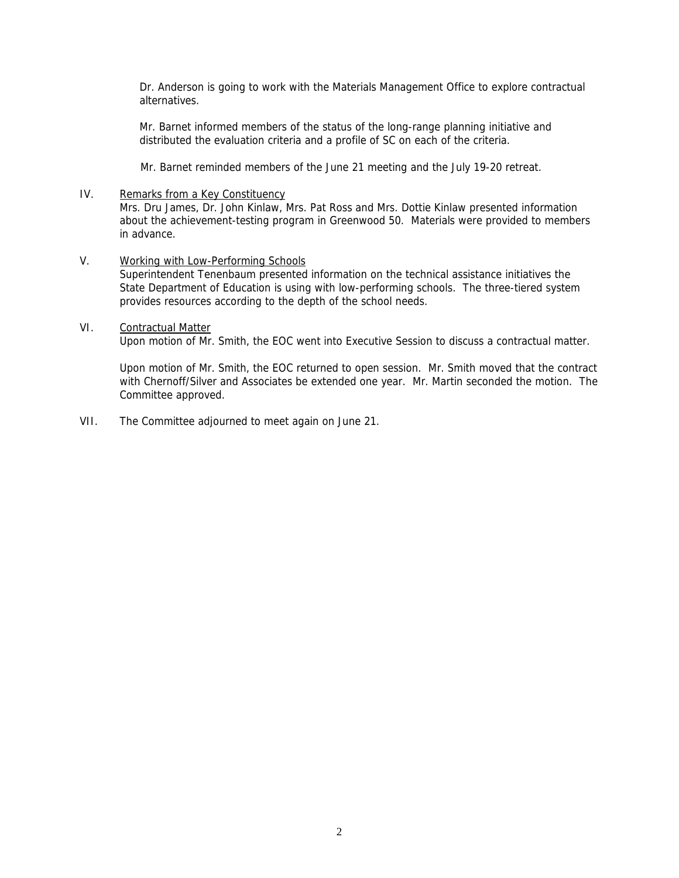Dr. Anderson is going to work with the Materials Management Office to explore contractual alternatives.

Mr. Barnet informed members of the status of the long-range planning initiative and distributed the evaluation criteria and a profile of SC on each of the criteria.

Mr. Barnet reminded members of the June 21 meeting and the July 19-20 retreat.

#### IV. Remarks from a Key Constituency

Mrs. Dru James, Dr. John Kinlaw, Mrs. Pat Ross and Mrs. Dottie Kinlaw presented information about the achievement-testing program in Greenwood 50. Materials were provided to members in advance.

## V. Working with Low-Performing Schools

Superintendent Tenenbaum presented information on the technical assistance initiatives the State Department of Education is using with low-performing schools. The three-tiered system provides resources according to the depth of the school needs.

#### VI. Contractual Matter

Upon motion of Mr. Smith, the EOC went into Executive Session to discuss a contractual matter.

Upon motion of Mr. Smith, the EOC returned to open session. Mr. Smith moved that the contract with Chernoff/Silver and Associates be extended one year. Mr. Martin seconded the motion. The Committee approved.

VII. The Committee adjourned to meet again on June 21.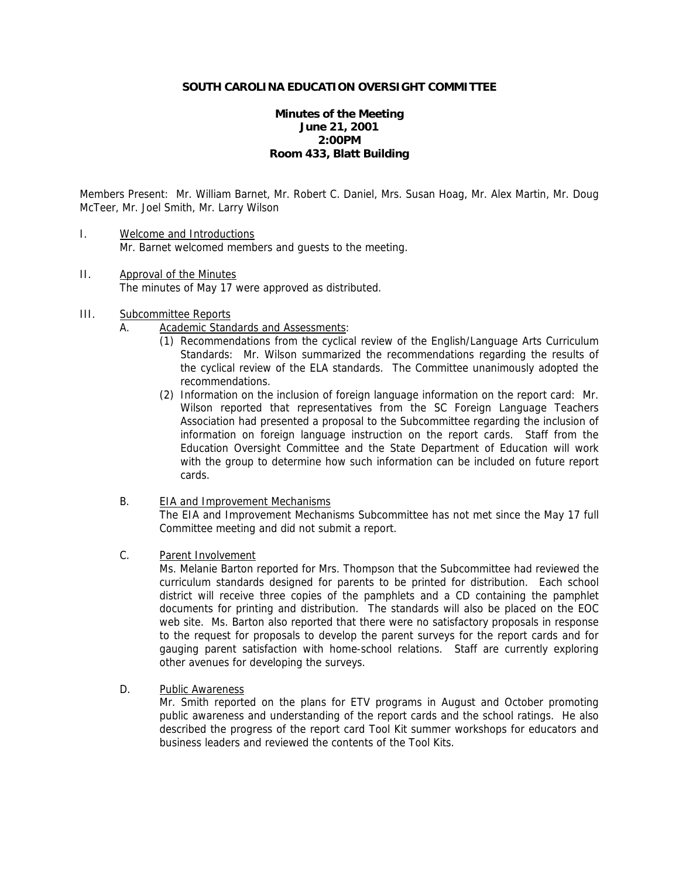# **Minutes of the Meeting June 21, 2001 2:00PM Room 433, Blatt Building**

Members Present: Mr. William Barnet, Mr. Robert C. Daniel, Mrs. Susan Hoag, Mr. Alex Martin, Mr. Doug McTeer, Mr. Joel Smith, Mr. Larry Wilson

- I. Welcome and Introductions Mr. Barnet welcomed members and guests to the meeting.
- II. Approval of the Minutes The minutes of May 17 were approved as distributed.
- III. Subcommittee Reports
	- A. Academic Standards and Assessments:
		- (1) Recommendations from the cyclical review of the English/Language Arts Curriculum Standards: Mr. Wilson summarized the recommendations regarding the results of the cyclical review of the ELA standards. The Committee unanimously adopted the recommendations.
		- (2) Information on the inclusion of foreign language information on the report card: Mr. Wilson reported that representatives from the SC Foreign Language Teachers Association had presented a proposal to the Subcommittee regarding the inclusion of information on foreign language instruction on the report cards. Staff from the Education Oversight Committee and the State Department of Education will work with the group to determine how such information can be included on future report cards.
	- B. EIA and Improvement Mechanisms The EIA and Improvement Mechanisms Subcommittee has not met since the May 17 full Committee meeting and did not submit a report.
	- C. Parent Involvement

Ms. Melanie Barton reported for Mrs. Thompson that the Subcommittee had reviewed the curriculum standards designed for parents to be printed for distribution. Each school district will receive three copies of the pamphlets and a CD containing the pamphlet documents for printing and distribution. The standards will also be placed on the EOC web site. Ms. Barton also reported that there were no satisfactory proposals in response to the request for proposals to develop the parent surveys for the report cards and for gauging parent satisfaction with home-school relations. Staff are currently exploring other avenues for developing the surveys.

D. Public Awareness

Mr. Smith reported on the plans for ETV programs in August and October promoting public awareness and understanding of the report cards and the school ratings. He also described the progress of the report card Tool Kit summer workshops for educators and business leaders and reviewed the contents of the Tool Kits.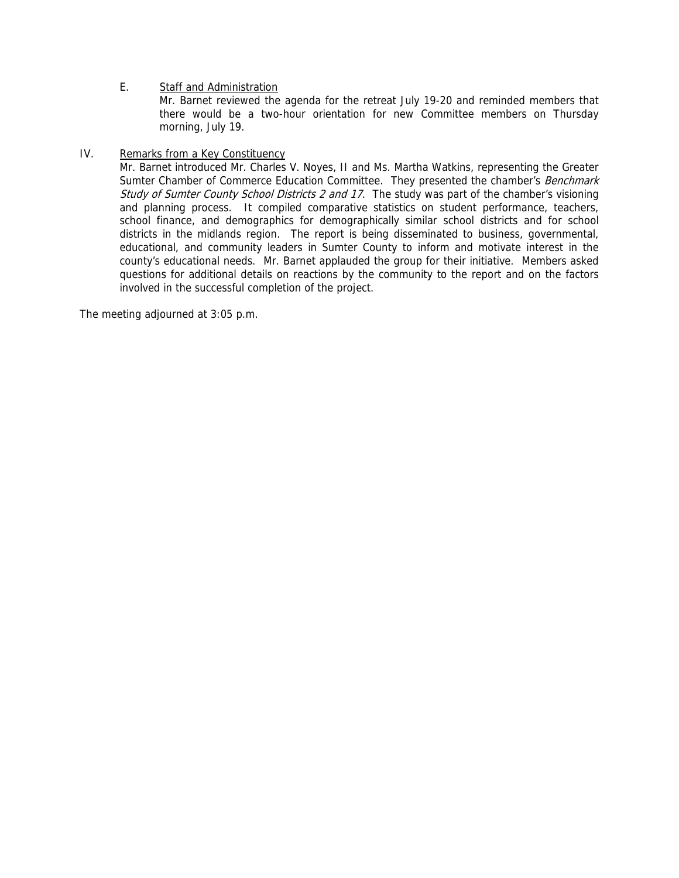# E. Staff and Administration

Mr. Barnet reviewed the agenda for the retreat July 19-20 and reminded members that there would be a two-hour orientation for new Committee members on Thursday morning, July 19.

## IV. Remarks from a Key Constituency

Mr. Barnet introduced Mr. Charles V. Noyes, II and Ms. Martha Watkins, representing the Greater Sumter Chamber of Commerce Education Committee. They presented the chamber's Benchmark Study of Sumter County School Districts 2 and 17. The study was part of the chamber's visioning and planning process. It compiled comparative statistics on student performance, teachers, school finance, and demographics for demographically similar school districts and for school districts in the midlands region. The report is being disseminated to business, governmental, educational, and community leaders in Sumter County to inform and motivate interest in the county's educational needs. Mr. Barnet applauded the group for their initiative. Members asked questions for additional details on reactions by the community to the report and on the factors involved in the successful completion of the project.

The meeting adjourned at 3:05 p.m.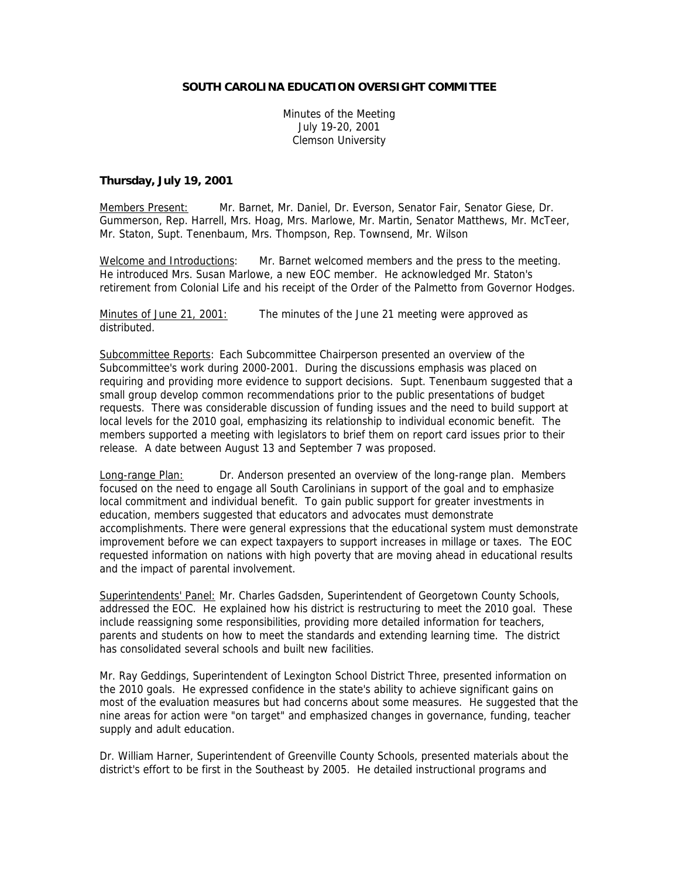Minutes of the Meeting July 19-20, 2001 Clemson University

#### **Thursday, July 19, 2001**

Members Present: Mr. Barnet, Mr. Daniel, Dr. Everson, Senator Fair, Senator Giese, Dr. Gummerson, Rep. Harrell, Mrs. Hoag, Mrs. Marlowe, Mr. Martin, Senator Matthews, Mr. McTeer, Mr. Staton, Supt. Tenenbaum, Mrs. Thompson, Rep. Townsend, Mr. Wilson

Welcome and Introductions: Mr. Barnet welcomed members and the press to the meeting. He introduced Mrs. Susan Marlowe, a new EOC member. He acknowledged Mr. Staton's retirement from Colonial Life and his receipt of the Order of the Palmetto from Governor Hodges.

Minutes of June 21, 2001: The minutes of the June 21 meeting were approved as distributed.

Subcommittee Reports: Each Subcommittee Chairperson presented an overview of the Subcommittee's work during 2000-2001. During the discussions emphasis was placed on requiring and providing more evidence to support decisions. Supt. Tenenbaum suggested that a small group develop common recommendations prior to the public presentations of budget requests. There was considerable discussion of funding issues and the need to build support at local levels for the 2010 goal, emphasizing its relationship to individual economic benefit. The members supported a meeting with legislators to brief them on report card issues prior to their release. A date between August 13 and September 7 was proposed.

Long-range Plan: Dr. Anderson presented an overview of the long-range plan. Members focused on the need to engage all South Carolinians in support of the goal and to emphasize local commitment and individual benefit. To gain public support for greater investments in education, members suggested that educators and advocates must demonstrate accomplishments. There were general expressions that the educational system must demonstrate improvement before we can expect taxpayers to support increases in millage or taxes. The EOC requested information on nations with high poverty that are moving ahead in educational results and the impact of parental involvement.

Superintendents' Panel: Mr. Charles Gadsden, Superintendent of Georgetown County Schools, addressed the EOC. He explained how his district is restructuring to meet the 2010 goal. These include reassigning some responsibilities, providing more detailed information for teachers, parents and students on how to meet the standards and extending learning time. The district has consolidated several schools and built new facilities.

Mr. Ray Geddings, Superintendent of Lexington School District Three, presented information on the 2010 goals. He expressed confidence in the state's ability to achieve significant gains on most of the evaluation measures but had concerns about some measures. He suggested that the nine areas for action were "on target" and emphasized changes in governance, funding, teacher supply and adult education.

Dr. William Harner, Superintendent of Greenville County Schools, presented materials about the district's effort to be first in the Southeast by 2005. He detailed instructional programs and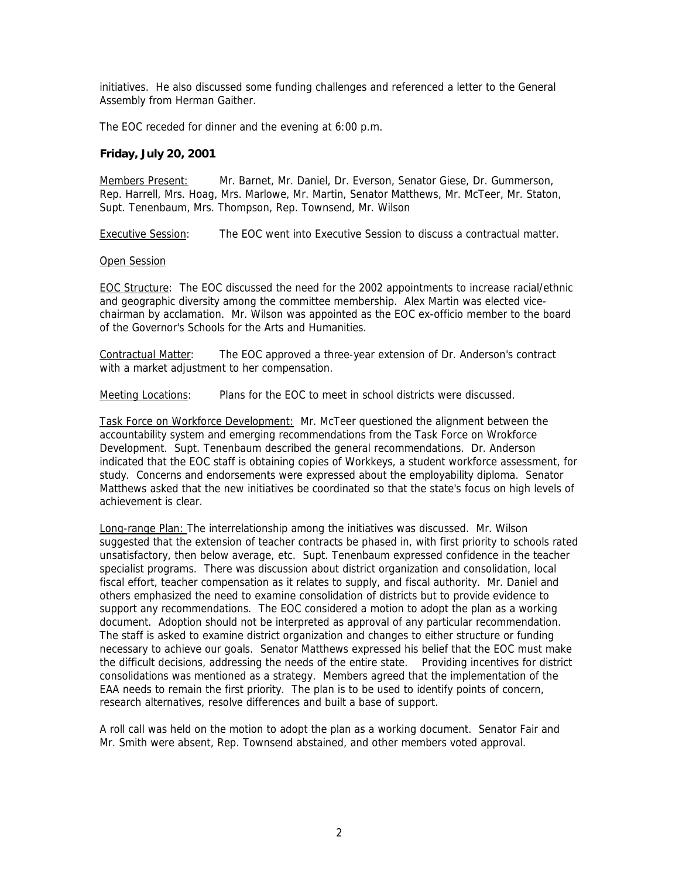initiatives. He also discussed some funding challenges and referenced a letter to the General Assembly from Herman Gaither.

The EOC receded for dinner and the evening at 6:00 p.m.

#### **Friday, July 20, 2001**

Members Present: Mr. Barnet, Mr. Daniel, Dr. Everson, Senator Giese, Dr. Gummerson, Rep. Harrell, Mrs. Hoag, Mrs. Marlowe, Mr. Martin, Senator Matthews, Mr. McTeer, Mr. Staton, Supt. Tenenbaum, Mrs. Thompson, Rep. Townsend, Mr. Wilson

Executive Session: The EOC went into Executive Session to discuss a contractual matter.

#### Open Session

EOC Structure: The EOC discussed the need for the 2002 appointments to increase racial/ethnic and geographic diversity among the committee membership. Alex Martin was elected vicechairman by acclamation. Mr. Wilson was appointed as the EOC ex-officio member to the board of the Governor's Schools for the Arts and Humanities.

Contractual Matter: The EOC approved a three-year extension of Dr. Anderson's contract with a market adjustment to her compensation.

Meeting Locations: Plans for the EOC to meet in school districts were discussed.

Task Force on Workforce Development: Mr. McTeer questioned the alignment between the accountability system and emerging recommendations from the Task Force on Wrokforce Development. Supt. Tenenbaum described the general recommendations. Dr. Anderson indicated that the EOC staff is obtaining copies of Workkeys, a student workforce assessment, for study. Concerns and endorsements were expressed about the employability diploma. Senator Matthews asked that the new initiatives be coordinated so that the state's focus on high levels of achievement is clear.

Long-range Plan: The interrelationship among the initiatives was discussed. Mr. Wilson suggested that the extension of teacher contracts be phased in, with first priority to schools rated unsatisfactory, then below average, etc. Supt. Tenenbaum expressed confidence in the teacher specialist programs. There was discussion about district organization and consolidation, local fiscal effort, teacher compensation as it relates to supply, and fiscal authority. Mr. Daniel and others emphasized the need to examine consolidation of districts but to provide evidence to support any recommendations. The EOC considered a motion to adopt the plan as a working document. Adoption should not be interpreted as approval of any particular recommendation. The staff is asked to examine district organization and changes to either structure or funding necessary to achieve our goals. Senator Matthews expressed his belief that the EOC must make the difficult decisions, addressing the needs of the entire state. Providing incentives for district consolidations was mentioned as a strategy. Members agreed that the implementation of the EAA needs to remain the first priority. The plan is to be used to identify points of concern, research alternatives, resolve differences and built a base of support.

A roll call was held on the motion to adopt the plan as a working document. Senator Fair and Mr. Smith were absent, Rep. Townsend abstained, and other members voted approval.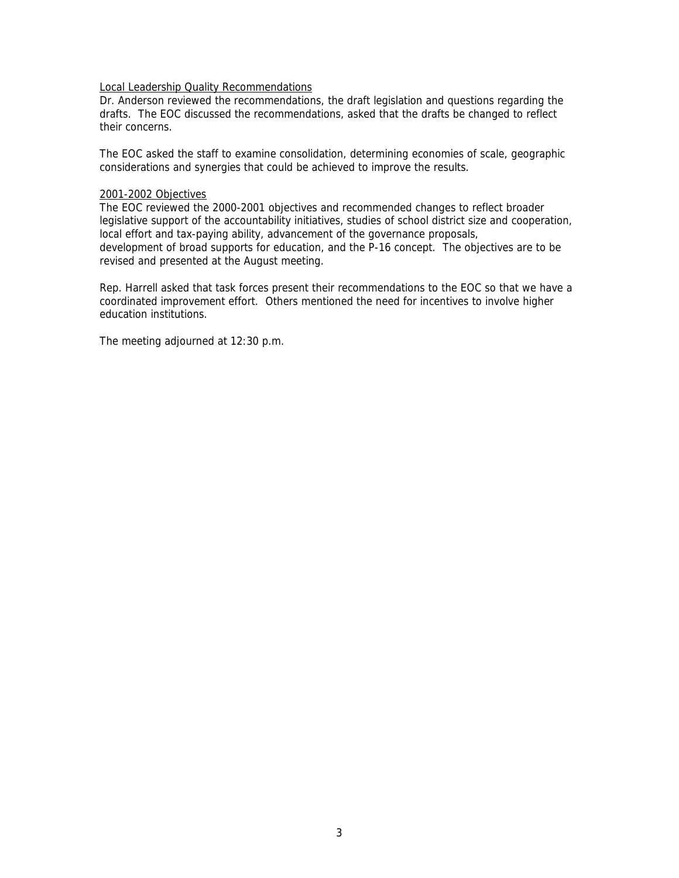#### Local Leadership Quality Recommendations

Dr. Anderson reviewed the recommendations, the draft legislation and questions regarding the drafts. The EOC discussed the recommendations, asked that the drafts be changed to reflect their concerns.

The EOC asked the staff to examine consolidation, determining economies of scale, geographic considerations and synergies that could be achieved to improve the results.

#### 2001-2002 Objectives

The EOC reviewed the 2000-2001 objectives and recommended changes to reflect broader legislative support of the accountability initiatives, studies of school district size and cooperation, local effort and tax-paying ability, advancement of the governance proposals, development of broad supports for education, and the P-16 concept. The objectives are to be revised and presented at the August meeting.

Rep. Harrell asked that task forces present their recommendations to the EOC so that we have a coordinated improvement effort. Others mentioned the need for incentives to involve higher education institutions.

The meeting adjourned at 12:30 p.m.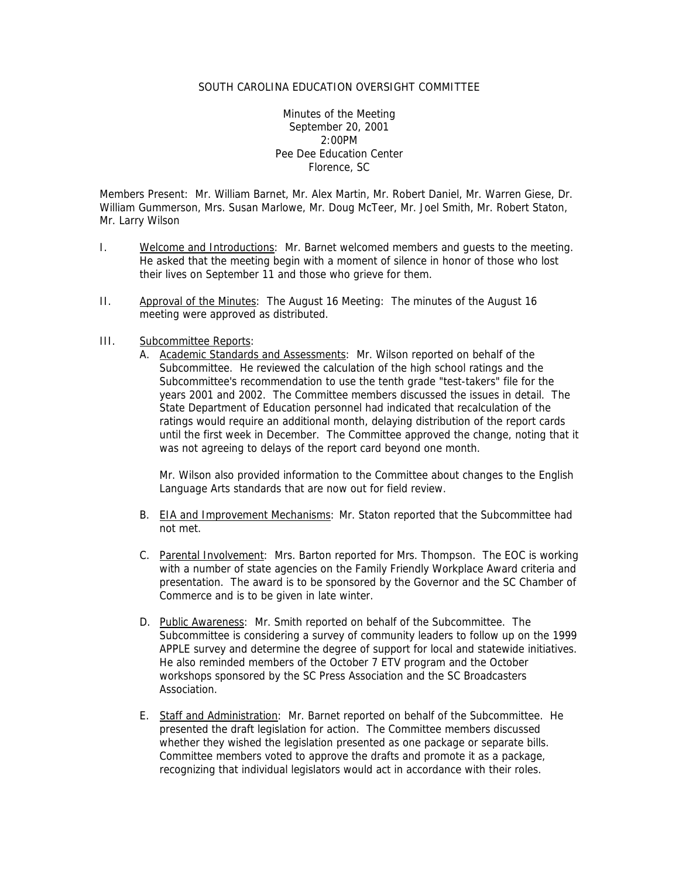Minutes of the Meeting September 20, 2001 2:00PM Pee Dee Education Center Florence, SC

Members Present: Mr. William Barnet, Mr. Alex Martin, Mr. Robert Daniel, Mr. Warren Giese, Dr. William Gummerson, Mrs. Susan Marlowe, Mr. Doug McTeer, Mr. Joel Smith, Mr. Robert Staton, Mr. Larry Wilson

- I. Welcome and Introductions: Mr. Barnet welcomed members and guests to the meeting. He asked that the meeting begin with a moment of silence in honor of those who lost their lives on September 11 and those who grieve for them.
- II. Approval of the Minutes: The August 16 Meeting: The minutes of the August 16 meeting were approved as distributed.

## III. Subcommittee Reports:

A. Academic Standards and Assessments: Mr. Wilson reported on behalf of the Subcommittee. He reviewed the calculation of the high school ratings and the Subcommittee's recommendation to use the tenth grade "test-takers" file for the years 2001 and 2002. The Committee members discussed the issues in detail. The State Department of Education personnel had indicated that recalculation of the ratings would require an additional month, delaying distribution of the report cards until the first week in December. The Committee approved the change, noting that it was not agreeing to delays of the report card beyond one month.

Mr. Wilson also provided information to the Committee about changes to the English Language Arts standards that are now out for field review.

- B. EIA and Improvement Mechanisms: Mr. Staton reported that the Subcommittee had not met.
- C. Parental Involvement: Mrs. Barton reported for Mrs. Thompson. The EOC is working with a number of state agencies on the Family Friendly Workplace Award criteria and presentation. The award is to be sponsored by the Governor and the SC Chamber of Commerce and is to be given in late winter.
- D. Public Awareness: Mr. Smith reported on behalf of the Subcommittee. The Subcommittee is considering a survey of community leaders to follow up on the 1999 APPLE survey and determine the degree of support for local and statewide initiatives. He also reminded members of the October 7 ETV program and the October workshops sponsored by the SC Press Association and the SC Broadcasters Association.
- E. Staff and Administration: Mr. Barnet reported on behalf of the Subcommittee. He presented the draft legislation for action. The Committee members discussed whether they wished the legislation presented as one package or separate bills. Committee members voted to approve the drafts and promote it as a package, recognizing that individual legislators would act in accordance with their roles.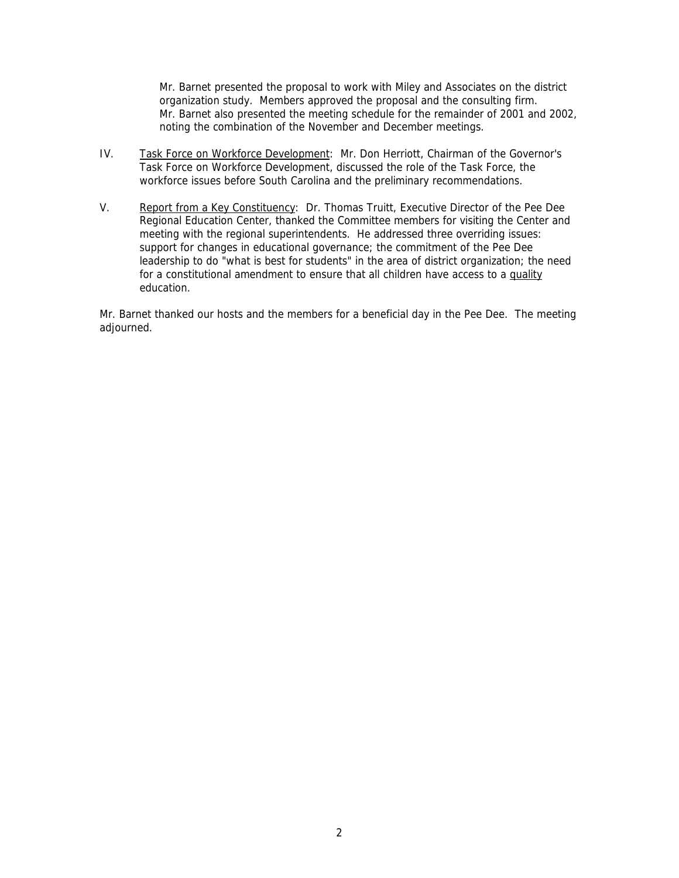Mr. Barnet presented the proposal to work with Miley and Associates on the district organization study. Members approved the proposal and the consulting firm. Mr. Barnet also presented the meeting schedule for the remainder of 2001 and 2002, noting the combination of the November and December meetings.

- IV. Task Force on Workforce Development: Mr. Don Herriott, Chairman of the Governor's Task Force on Workforce Development, discussed the role of the Task Force, the workforce issues before South Carolina and the preliminary recommendations.
- V. Report from a Key Constituency: Dr. Thomas Truitt, Executive Director of the Pee Dee Regional Education Center, thanked the Committee members for visiting the Center and meeting with the regional superintendents. He addressed three overriding issues: support for changes in educational governance; the commitment of the Pee Dee leadership to do "what is best for students" in the area of district organization; the need for a constitutional amendment to ensure that all children have access to a quality education.

Mr. Barnet thanked our hosts and the members for a beneficial day in the Pee Dee. The meeting adjourned.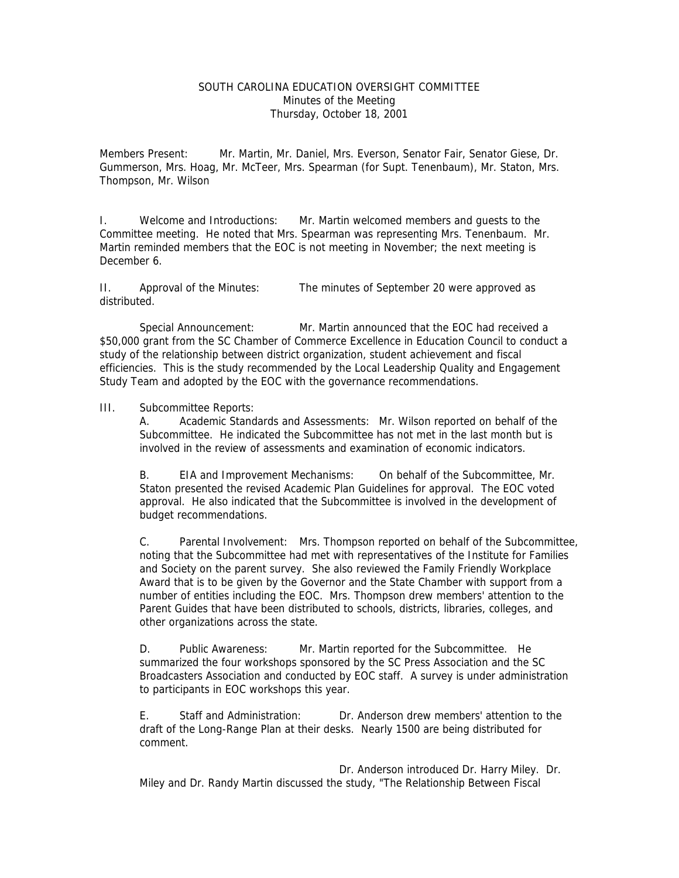## SOUTH CAROLINA EDUCATION OVERSIGHT COMMITTEE Minutes of the Meeting Thursday, October 18, 2001

Members Present: Mr. Martin, Mr. Daniel, Mrs. Everson, Senator Fair, Senator Giese, Dr. Gummerson, Mrs. Hoag, Mr. McTeer, Mrs. Spearman (for Supt. Tenenbaum), Mr. Staton, Mrs. Thompson, Mr. Wilson

I. Welcome and Introductions: Mr. Martin welcomed members and guests to the Committee meeting. He noted that Mrs. Spearman was representing Mrs. Tenenbaum. Mr. Martin reminded members that the EOC is not meeting in November; the next meeting is December 6.

II. Approval of the Minutes: The minutes of September 20 were approved as distributed.

Special Announcement: Mr. Martin announced that the EOC had received a \$50,000 grant from the SC Chamber of Commerce Excellence in Education Council to conduct a study of the relationship between district organization, student achievement and fiscal efficiencies. This is the study recommended by the Local Leadership Quality and Engagement Study Team and adopted by the EOC with the governance recommendations.

#### III. Subcommittee Reports:

A. Academic Standards and Assessments: Mr. Wilson reported on behalf of the Subcommittee. He indicated the Subcommittee has not met in the last month but is involved in the review of assessments and examination of economic indicators.

B. EIA and Improvement Mechanisms: On behalf of the Subcommittee, Mr. Staton presented the revised Academic Plan Guidelines for approval. The EOC voted approval. He also indicated that the Subcommittee is involved in the development of budget recommendations.

C. Parental Involvement: Mrs. Thompson reported on behalf of the Subcommittee, noting that the Subcommittee had met with representatives of the Institute for Families and Society on the parent survey. She also reviewed the Family Friendly Workplace Award that is to be given by the Governor and the State Chamber with support from a number of entities including the EOC. Mrs. Thompson drew members' attention to the Parent Guides that have been distributed to schools, districts, libraries, colleges, and other organizations across the state.

D. Public Awareness: Mr. Martin reported for the Subcommittee. He summarized the four workshops sponsored by the SC Press Association and the SC Broadcasters Association and conducted by EOC staff. A survey is under administration to participants in EOC workshops this year.

E. Staff and Administration: Dr. Anderson drew members' attention to the draft of the Long-Range Plan at their desks. Nearly 1500 are being distributed for comment.

 Dr. Anderson introduced Dr. Harry Miley. Dr. Miley and Dr. Randy Martin discussed the study, "The Relationship Between Fiscal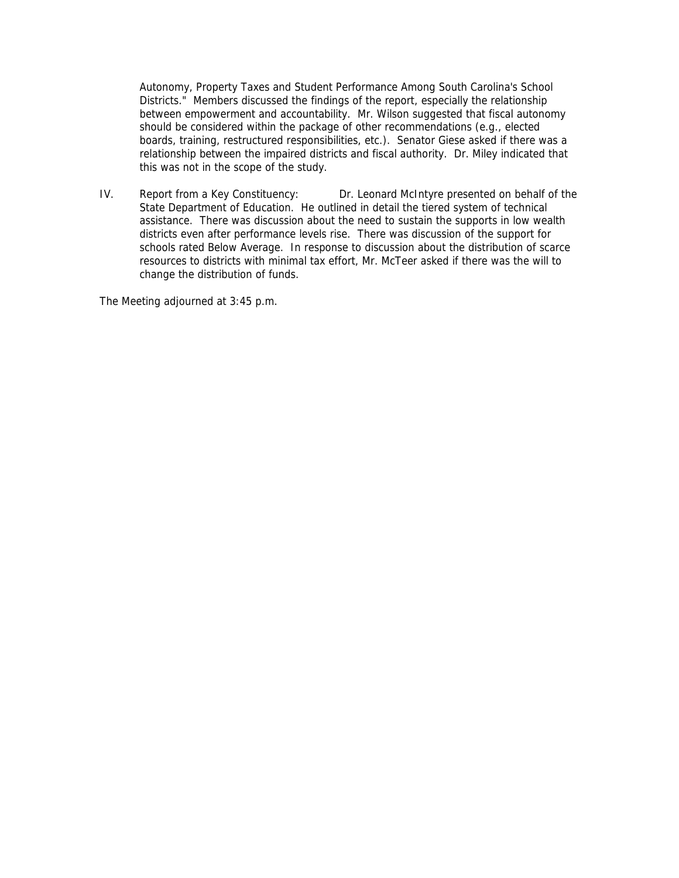Autonomy, Property Taxes and Student Performance Among South Carolina's School Districts." Members discussed the findings of the report, especially the relationship between empowerment and accountability. Mr. Wilson suggested that fiscal autonomy should be considered within the package of other recommendations (e.g., elected boards, training, restructured responsibilities, etc.). Senator Giese asked if there was a relationship between the impaired districts and fiscal authority. Dr. Miley indicated that this was not in the scope of the study.

IV. Report from a Key Constituency: Dr. Leonard McIntyre presented on behalf of the State Department of Education. He outlined in detail the tiered system of technical assistance. There was discussion about the need to sustain the supports in low wealth districts even after performance levels rise. There was discussion of the support for schools rated Below Average. In response to discussion about the distribution of scarce resources to districts with minimal tax effort, Mr. McTeer asked if there was the will to change the distribution of funds.

The Meeting adjourned at 3:45 p.m.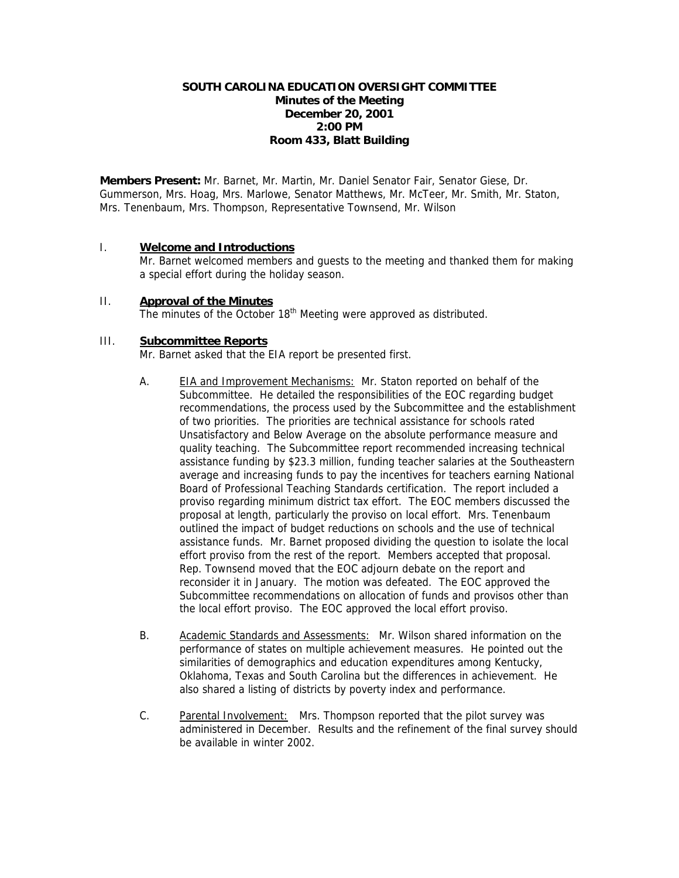# **SOUTH CAROLINA EDUCATION OVERSIGHT COMMITTEE Minutes of the Meeting December 20, 2001 2:00 PM Room 433, Blatt Building**

**Members Present:** Mr. Barnet, Mr. Martin, Mr. Daniel Senator Fair, Senator Giese, Dr. Gummerson, Mrs. Hoag, Mrs. Marlowe, Senator Matthews, Mr. McTeer, Mr. Smith, Mr. Staton, Mrs. Tenenbaum, Mrs. Thompson, Representative Townsend, Mr. Wilson

## I. **Welcome and Introductions**

Mr. Barnet welcomed members and guests to the meeting and thanked them for making a special effort during the holiday season.

#### II. **Approval of the Minutes** The minutes of the October 18<sup>th</sup> Meeting were approved as distributed.

# III. **Subcommittee Reports**

Mr. Barnet asked that the EIA report be presented first.

- A. EIA and Improvement Mechanisms: Mr. Staton reported on behalf of the Subcommittee. He detailed the responsibilities of the EOC regarding budget recommendations, the process used by the Subcommittee and the establishment of two priorities. The priorities are technical assistance for schools rated Unsatisfactory and Below Average on the absolute performance measure and quality teaching. The Subcommittee report recommended increasing technical assistance funding by \$23.3 million, funding teacher salaries at the Southeastern average and increasing funds to pay the incentives for teachers earning National Board of Professional Teaching Standards certification. The report included a proviso regarding minimum district tax effort. The EOC members discussed the proposal at length, particularly the proviso on local effort. Mrs. Tenenbaum outlined the impact of budget reductions on schools and the use of technical assistance funds. Mr. Barnet proposed dividing the question to isolate the local effort proviso from the rest of the report. Members accepted that proposal. Rep. Townsend moved that the EOC adjourn debate on the report and reconsider it in January. The motion was defeated. The EOC approved the Subcommittee recommendations on allocation of funds and provisos other than the local effort proviso. The EOC approved the local effort proviso.
- B. Academic Standards and Assessments: Mr. Wilson shared information on the performance of states on multiple achievement measures. He pointed out the similarities of demographics and education expenditures among Kentucky, Oklahoma, Texas and South Carolina but the differences in achievement. He also shared a listing of districts by poverty index and performance.
- C. Parental Involvement: Mrs. Thompson reported that the pilot survey was administered in December. Results and the refinement of the final survey should be available in winter 2002.